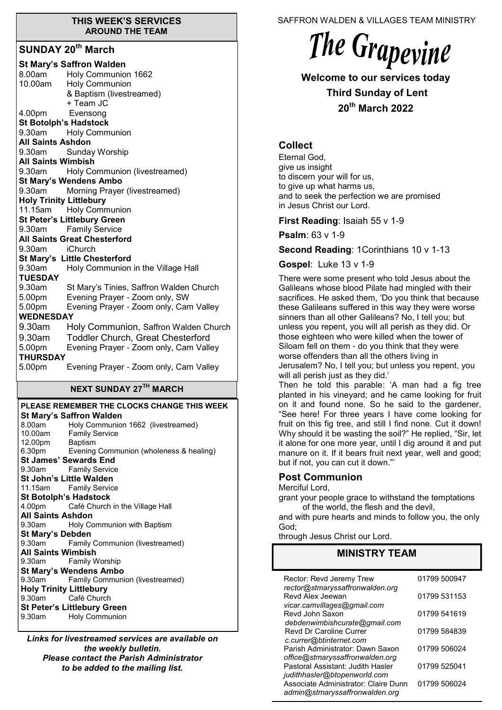#### **THIS WEEK'S SERVICES AROUND THE TEAM**

# **SUNDAY 20th March**

| <b>St Mary's Saffron Walden</b> |                                              |  |
|---------------------------------|----------------------------------------------|--|
| 8.00am                          | Holy Communion 1662                          |  |
|                                 | 10.00am Holy Communion                       |  |
|                                 | & Baptism (livestreamed)                     |  |
|                                 | + Team JC                                    |  |
| 4.00pm Evensong                 |                                              |  |
| <b>St Botolph's Hadstock</b>    |                                              |  |
|                                 | 9.30am Holy Communion                        |  |
| <b>All Saints Ashdon</b>        |                                              |  |
| 9.30am                          | Sunday Worship                               |  |
| <b>All Saints Wimbish</b>       |                                              |  |
| 9.30am                          | Holy Communion (livestreamed)                |  |
|                                 | <b>St Mary's Wendens Ambo</b>                |  |
| 9.30am                          | Morning Prayer (livestreamed)                |  |
| <b>Holy Trinity Littlebury</b>  |                                              |  |
|                                 | 11.15am Holy Communion                       |  |
|                                 | <b>St Peter's Littlebury Green</b>           |  |
|                                 | 9.30am Family Service                        |  |
|                                 | <b>All Saints Great Chesterford</b>          |  |
| 9.30am iChurch                  |                                              |  |
|                                 | St Mary's Little Chesterford                 |  |
| 9.30am                          | Holy Communion in the Village Hall           |  |
| <b>TUESDAY</b><br>9.30am        |                                              |  |
| 5.00 <sub>pm</sub>              | St Mary's Tinies, Saffron Walden Church      |  |
|                                 | Evening Prayer - Zoom only, SW               |  |
| 5.00pm<br><b>WEDNESDAY</b>      | Evening Prayer - Zoom only, Cam Valley       |  |
|                                 |                                              |  |
|                                 | 9.30am Holy Communion, Saffron Walden Church |  |
| 9.30am                          | <b>Toddler Church, Great Chesterford</b>     |  |
| 5.00pm                          | Evening Prayer - Zoom only, Cam Valley       |  |
| THURSDAY                        |                                              |  |
| 5.00pm                          | Evening Prayer - Zoom only, Cam Valley       |  |
|                                 | <b>NEXT SUNDAY 27TH MARCH</b>                |  |
|                                 |                                              |  |

#### **PLEASE REMEMBER THE CLOCKS CHANGE THIS WEEK St Mary's Saffron Walden**  8.00am Holy Communion 1662 (livestreamed) 10.00am Family Service 12.00pm Baptism 6.30pm Evening Communion (wholeness & healing) **St James' Sewards End**<br>9.30am **Family Service Family Service**

**St John's Little Walden**  11.15am Family Service **St Botolph's Hadstock**  4.00pm Café Church in the Village Hall **All Saints Ashdon**  9.30am Holy Communion with Baptism **St Mary's Debden** 9.30am Family Communion (livestreamed) **All Saints Wimbish** 9.30am Family Worship **St Mary's Wendens Ambo** 9.30am Family Communion (livestreamed) **Holy Trinity Littlebury** 9.30am Café Church **St Peter's Littlebury Green** 9.30am Holy Communion

*Links for livestreamed services are available on the weekly bulletin. Please contact the Parish Administrator to be added to the mailing list.*

SAFFRON WALDEN & VILLAGES TEAM MINISTRY

# The Grapevine

**Welcome to our services today Third Sunday of Lent 20th March 2022**

# **Collect**

Eternal God, give us insight to discern your will for us, to give up what harms us, and to seek the perfection we are promised in Jesus Christ our Lord.

#### **First Reading**: Isaiah 55 v 1-9

**Psalm**: 63 v 1-9

**Second Reading**: 1Corinthians 10 v 1-13

#### **Gospel**: Luke 13 v 1-9

There were some present who told Jesus about the Galileans whose blood Pilate had mingled with their sacrifices. He asked them, 'Do you think that because these Galileans suffered in this way they were worse sinners than all other Galileans? No, I tell you; but unless you repent, you will all perish as they did. Or those eighteen who were killed when the tower of Siloam fell on them - do you think that they were worse offenders than all the others living in Jerusalem? No, I tell you; but unless you repent, you will all perish just as they did.'

Then he told this parable: 'A man had a fig tree planted in his vineyard; and he came looking for fruit on it and found none. So he said to the gardener, "See here! For three years I have come looking for fruit on this fig tree, and still I find none. Cut it down! Why should it be wasting the soil?" He replied, "Sir, let it alone for one more year, until I dig around it and put manure on it. If it bears fruit next year, well and good; but if not, you can cut it down."'

#### **Post Communion**

Merciful Lord,

grant your people grace to withstand the temptations of the world, the flesh and the devil,

and with pure hearts and minds to follow you, the only God;

through Jesus Christ our Lord.

# **MINISTRY TEAM**

| Rector: Revd Jeremy Trew<br>rector@stmaryssaffronwalden.org          | 01799 500947 |
|----------------------------------------------------------------------|--------------|
| Revd Alex Jeewan                                                     | 01799 531153 |
| vicar.camvillages@gmail.com<br>Revd John Saxon                       | 01799 541619 |
| debdenwimbishcurate@gmail.com<br><b>Revd Dr Caroline Currer</b>      | 01799 584839 |
| c.currer@btinternet.com<br>Parish Administrator: Dawn Saxon          | 01799 506024 |
| office@stmaryssaffronwalden.org<br>Pastoral Assistant: Judith Hasler | 01799 525041 |
| judithhasler@btopenworld.com<br>Associate Administrator: Claire Dunn | 01799 506024 |
| admin@stmaryssaffronwalden.org                                       |              |